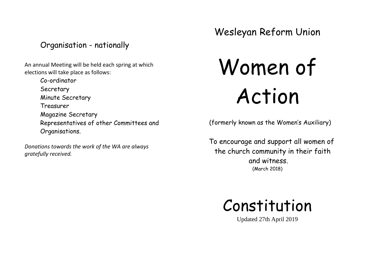Organisation - nationally

An annual Meeting will be held each spring at which elections will take place as follows:

> Co-ordinator Secretary Minute Secretary Treasurer Magazine Secretary Representatives of other Committees and Organisations.

*Donations towards the work of the WA are always gratefully received.*

Wesleyan Reform Union

Women of Action

(formerly known as the Women's Auxiliary)

 To encourage and support all women of the church community in their faith and witness. (March 2018)



Updated 27th April 2019